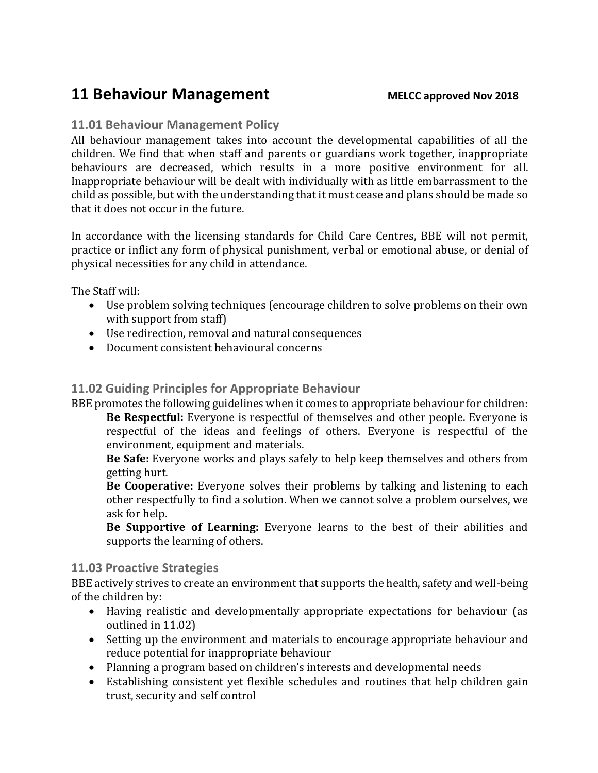# **11 Behaviour Management MELCC approved Nov 2018**

## **11.01 Behaviour Management Policy**

All behaviour management takes into account the developmental capabilities of all the children. We find that when staff and parents or guardians work together, inappropriate behaviours are decreased, which results in a more positive environment for all. Inappropriate behaviour will be dealt with individually with as little embarrassment to the child as possible, but with the understanding that it must cease and plans should be made so that it does not occur in the future.

In accordance with the licensing standards for Child Care Centres, BBE will not permit, practice or inflict any form of physical punishment, verbal or emotional abuse, or denial of physical necessities for any child in attendance.

The Staff will:

- Use problem solving techniques (encourage children to solve problems on their own with support from staff)
- Use redirection, removal and natural consequences
- Document consistent behavioural concerns

## **11.02 Guiding Principles for Appropriate Behaviour**

BBE promotes the following guidelines when it comes to appropriate behaviour for children: Be Respectful: Everyone is respectful of themselves and other people. Everyone is respectful of the ideas and feelings of others. Everyone is respectful of the environment, equipment and materials.

**Be Safe:** Everyone works and plays safely to help keep themselves and others from getting hurt.

**Be Cooperative:** Everyone solves their problems by talking and listening to each other respectfully to find a solution. When we cannot solve a problem ourselves, we ask for help.

Be Supportive of Learning: Everyone learns to the best of their abilities and supports the learning of others.

#### **11.03 Proactive Strategies**

BBE actively strives to create an environment that supports the health, safety and well-being of the children by:

- Having realistic and developmentally appropriate expectations for behaviour (as outlined in 11.02)
- Setting up the environment and materials to encourage appropriate behaviour and reduce potential for inappropriate behaviour
- Planning a program based on children's interests and developmental needs
- Establishing consistent yet flexible schedules and routines that help children gain trust, security and self control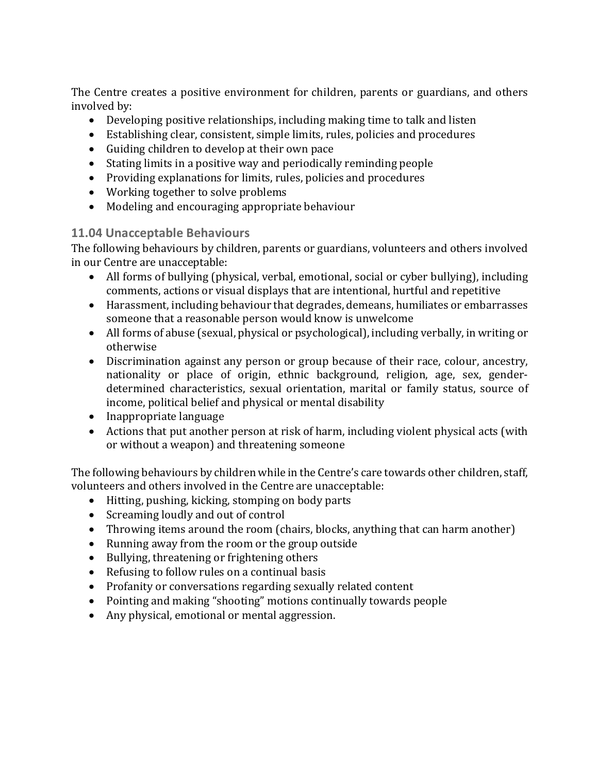The Centre creates a positive environment for children, parents or guardians, and others involved by:

- Developing positive relationships, including making time to talk and listen
- Establishing clear, consistent, simple limits, rules, policies and procedures
- $\bullet$  Guiding children to develop at their own pace
- Stating limits in a positive way and periodically reminding people
- Providing explanations for limits, rules, policies and procedures
- $\bullet$  Working together to solve problems
- $\bullet$  Modeling and encouraging appropriate behaviour

## **11.04 Unacceptable Behaviours**

The following behaviours by children, parents or guardians, volunteers and others involved in our Centre are unacceptable:

- All forms of bullying (physical, verbal, emotional, social or cyber bullying), including comments, actions or visual displays that are intentional, hurtful and repetitive
- Harassment, including behaviour that degrades, demeans, humiliates or embarrasses someone that a reasonable person would know is unwelcome
- All forms of abuse (sexual, physical or psychological), including verbally, in writing or otherwise
- Discrimination against any person or group because of their race, colour, ancestry, nationality or place of origin, ethnic background, religion, age, sex, genderdetermined characteristics, sexual orientation, marital or family status, source of income, political belief and physical or mental disability
- $\bullet$  Inappropriate language
- Actions that put another person at risk of harm, including violent physical acts (with or without a weapon) and threatening someone

The following behaviours by children while in the Centre's care towards other children, staff, volunteers and others involved in the Centre are unacceptable:

- Hitting, pushing, kicking, stomping on body parts
- Screaming loudly and out of control
- Throwing items around the room (chairs, blocks, anything that can harm another)
- Running away from the room or the group outside
- Bullying, threatening or frightening others
- Refusing to follow rules on a continual basis
- Profanity or conversations regarding sexually related content
- Pointing and making "shooting" motions continually towards people
- Any physical, emotional or mental aggression.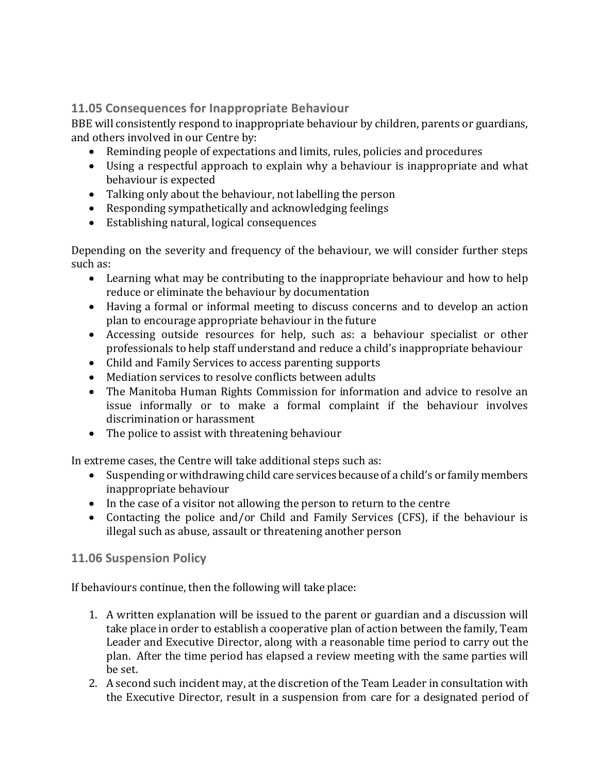# **11.05 Consequences for Inappropriate Behaviour**

BBE will consistently respond to inappropriate behaviour by children, parents or guardians, and others involved in our Centre by:

- Reminding people of expectations and limits, rules, policies and procedures
- Using a respectful approach to explain why a behaviour is inappropriate and what behaviour is expected
- Talking only about the behaviour, not labelling the person
- Responding sympathetically and acknowledging feelings
- Establishing natural, logical consequences

Depending on the severity and frequency of the behaviour, we will consider further steps such as:

- Learning what may be contributing to the inappropriate behaviour and how to help reduce or eliminate the behaviour by documentation
- Having a formal or informal meeting to discuss concerns and to develop an action plan to encourage appropriate behaviour in the future
- Accessing outside resources for help, such as: a behaviour specialist or other professionals to help staff understand and reduce a child's inappropriate behaviour
- Child and Family Services to access parenting supports
- Mediation services to resolve conflicts between adults
- The Manitoba Human Rights Commission for information and advice to resolve an issue informally or to make a formal complaint if the behaviour involves discrimination or harassment
- The police to assist with threatening behaviour

In extreme cases, the Centre will take additional steps such as:

- Suspending or withdrawing child care services because of a child's or family members inappropriate behaviour
- In the case of a visitor not allowing the person to return to the centre
- Contacting the police and/or Child and Family Services (CFS), if the behaviour is illegal such as abuse, assault or threatening another person

# **11.06 Suspension Policy**

If behaviours continue, then the following will take place:

- 1. A written explanation will be issued to the parent or guardian and a discussion will take place in order to establish a cooperative plan of action between the family, Team Leader and Executive Director, along with a reasonable time period to carry out the plan. After the time period has elapsed a review meeting with the same parties will be set.
- 2. A second such incident may, at the discretion of the Team Leader in consultation with the Executive Director, result in a suspension from care for a designated period of